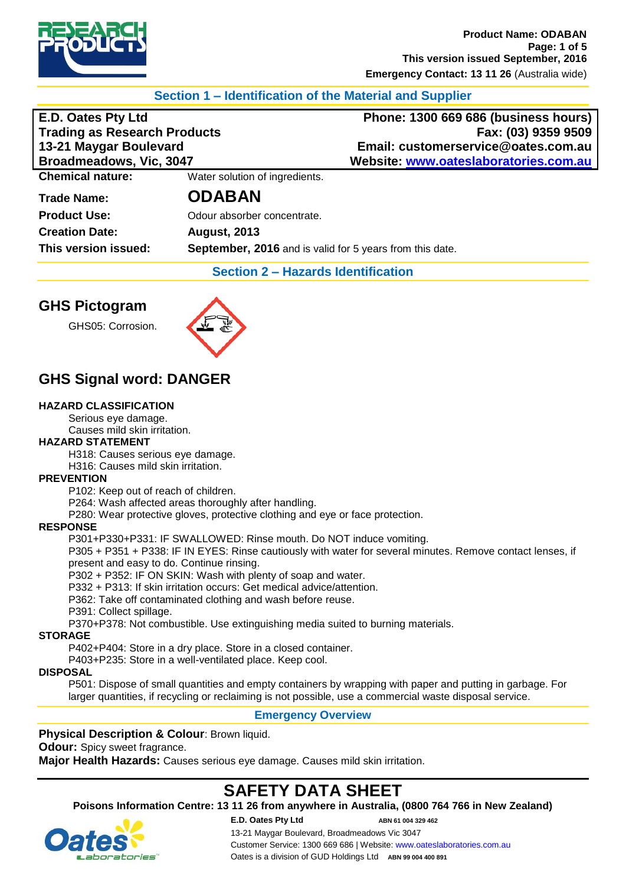

# **Section 1 – Identification of the Material and Supplier**

**Trading as Research Products**<br>13-21 Maygar Boulevard

**E.D. Oates Pty Ltd Phone: 1300 669 686 (business hours) 13-21 Maygar Boulevard Email: customerservice@oates.com.au Broadmeadows, Vic, 3047 Website: [www.oateslaboratories.com.au](http://www.oateslaboratories.com.au/)**

**Chemical nature:** Water solution of ingredients.

**Creation Date: August, 2013**

**Trade Name: ODABAN**

**Product Use:** Odour absorber concentrate. **This version issued: September, 2016** and is valid for 5 years from this date.

**Section 2 – Hazards Identification**

# **GHS Pictogram**

GHS05: Corrosion.



# **GHS Signal word: DANGER**

### **HAZARD CLASSIFICATION**

Serious eye damage. Causes mild skin irritation.

#### **HAZARD STATEMENT**

H318: Causes serious eye damage.

H316: Causes mild skin irritation.

#### **PREVENTION**

P102: Keep out of reach of children.

P264: Wash affected areas thoroughly after handling.

P280: Wear protective gloves, protective clothing and eye or face protection.

#### **RESPONSE**

P301+P330+P331: IF SWALLOWED: Rinse mouth. Do NOT induce vomiting.

P305 + P351 + P338: IF IN EYES: Rinse cautiously with water for several minutes. Remove contact lenses, if present and easy to do. Continue rinsing.

P302 + P352: IF ON SKIN: Wash with plenty of soap and water.

P332 + P313: If skin irritation occurs: Get medical advice/attention.

P362: Take off contaminated clothing and wash before reuse.

P391: Collect spillage.

P370+P378: Not combustible. Use extinguishing media suited to burning materials.

#### **STORAGE**

P402+P404: Store in a dry place. Store in a closed container.

P403+P235: Store in a well-ventilated place. Keep cool.

#### **DISPOSAL**

P501: Dispose of small quantities and empty containers by wrapping with paper and putting in garbage. For larger quantities, if recycling or reclaiming is not possible, use a commercial waste disposal service.

# **Emergency Overview**

# **Physical Description & Colour: Brown liquid.**

**Odour:** Spicy sweet fragrance.

**Major Health Hazards:** Causes serious eye damage. Causes mild skin irritation.

# **SAFETY DATA SHEET**

**Poisons Information Centre: 13 11 26 from anywhere in Australia, (0800 764 766 in New Zealand)**

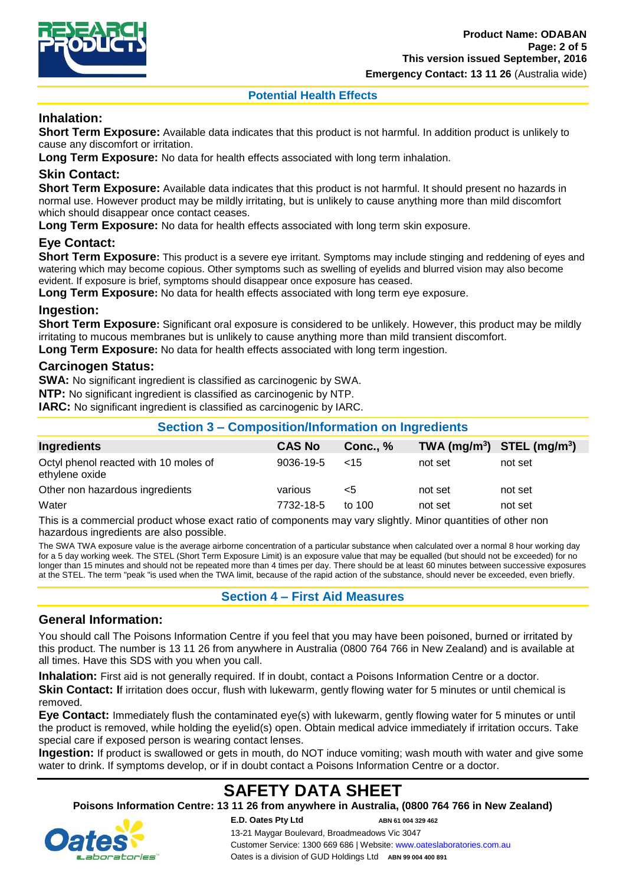

**Potential Health Effects**

# **Inhalation:**

**Short Term Exposure:** Available data indicates that this product is not harmful. In addition product is unlikely to cause any discomfort or irritation.

**Long Term Exposure:** No data for health effects associated with long term inhalation.

# **Skin Contact:**

**Short Term Exposure:** Available data indicates that this product is not harmful. It should present no hazards in normal use. However product may be mildly irritating, but is unlikely to cause anything more than mild discomfort which should disappear once contact ceases.

**Long Term Exposure:** No data for health effects associated with long term skin exposure.

# **Eye Contact:**

**Short Term Exposure:** This product is a severe eye irritant. Symptoms may include stinging and reddening of eyes and watering which may become copious. Other symptoms such as swelling of eyelids and blurred vision may also become evident. If exposure is brief, symptoms should disappear once exposure has ceased.

**Long Term Exposure:** No data for health effects associated with long term eye exposure.

# **Ingestion:**

**Short Term Exposure:** Significant oral exposure is considered to be unlikely. However, this product may be mildly irritating to mucous membranes but is unlikely to cause anything more than mild transient discomfort.

**Long Term Exposure:** No data for health effects associated with long term ingestion.

### **Carcinogen Status:**

**SWA:** No significant ingredient is classified as carcinogenic by SWA.

**NTP:** No significant ingredient is classified as carcinogenic by NTP.

**IARC:** No significant ingredient is classified as carcinogenic by IARC.

| Section 3 – Composition/Information on ingredients                                                                  |               |                 |         |                                |
|---------------------------------------------------------------------------------------------------------------------|---------------|-----------------|---------|--------------------------------|
| <b>Ingredients</b>                                                                                                  | <b>CAS No</b> | <b>Conc., %</b> |         | TWA $(mg/m^3)$ STEL $(mg/m^3)$ |
| Octyl phenol reacted with 10 moles of<br>ethylene oxide                                                             | 9036-19-5     | ~15             | not set | not set                        |
| Other non hazardous ingredients                                                                                     | various       | <5              | not set | not set                        |
| Water                                                                                                               | 7732-18-5     | to $100$        | not set | not set                        |
| This is a common state massive colorer and state of common state manning withinking Minera monocities of other mono |               |                 |         |                                |

**Section 3 – Composition/Information on Ingredients**

This is a commercial product whose exact ratio of components may vary slightly. Minor quantities of other non hazardous ingredients are also possible.

The SWA TWA exposure value is the average airborne concentration of a particular substance when calculated over a normal 8 hour working day for a 5 day working week. The STEL (Short Term Exposure Limit) is an exposure value that may be equalled (but should not be exceeded) for no longer than 15 minutes and should not be repeated more than 4 times per day. There should be at least 60 minutes between successive exposures at the STEL. The term "peak "is used when the TWA limit, because of the rapid action of the substance, should never be exceeded, even briefly.

**Section 4 – First Aid Measures**

# **General Information:**

You should call The Poisons Information Centre if you feel that you may have been poisoned, burned or irritated by this product. The number is 13 11 26 from anywhere in Australia (0800 764 766 in New Zealand) and is available at all times. Have this SDS with you when you call.

**Inhalation:** First aid is not generally required. If in doubt, contact a Poisons Information Centre or a doctor. **Skin Contact: If irritation does occur, flush with lukewarm, gently flowing water for 5 minutes or until chemical is** removed.

**Eye Contact:** Immediately flush the contaminated eye(s) with lukewarm, gently flowing water for 5 minutes or until the product is removed, while holding the eyelid(s) open. Obtain medical advice immediately if irritation occurs. Take special care if exposed person is wearing contact lenses.

**Ingestion:** If product is swallowed or gets in mouth, do NOT induce vomiting; wash mouth with water and give some water to drink. If symptoms develop, or if in doubt contact a Poisons Information Centre or a doctor.

# **SAFETY DATA SHEET**

**Poisons Information Centre: 13 11 26 from anywhere in Australia, (0800 764 766 in New Zealand)**

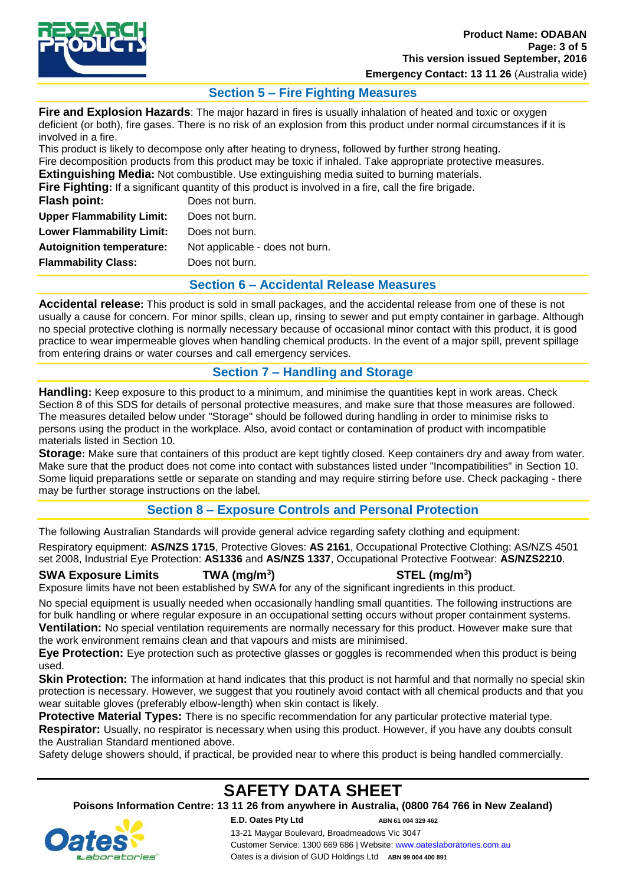

**Emergency Contact: 13 11 26** (Australia wide)

# **Section 5 – Fire Fighting Measures**

**Fire and Explosion Hazards**: The major hazard in fires is usually inhalation of heated and toxic or oxygen deficient (or both), fire gases. There is no risk of an explosion from this product under normal circumstances if it is involved in a fire.

This product is likely to decompose only after heating to dryness, followed by further strong heating. Fire decomposition products from this product may be toxic if inhaled. Take appropriate protective measures. **Extinguishing Media:** Not combustible. Use extinguishing media suited to burning materials.

**Fire Fighting:** If a significant quantity of this product is involved in a fire, call the fire brigade.

| Flash point:                     | Does not burn.                  |
|----------------------------------|---------------------------------|
| <b>Upper Flammability Limit:</b> | Does not burn.                  |
| <b>Lower Flammability Limit:</b> | Does not burn.                  |
| <b>Autoignition temperature:</b> | Not applicable - does not burn. |
| <b>Flammability Class:</b>       | Does not burn.                  |
|                                  |                                 |

# **Section 6 – Accidental Release Measures**

**Accidental release:** This product is sold in small packages, and the accidental release from one of these is not usually a cause for concern. For minor spills, clean up, rinsing to sewer and put empty container in garbage. Although no special protective clothing is normally necessary because of occasional minor contact with this product, it is good practice to wear impermeable gloves when handling chemical products. In the event of a major spill, prevent spillage from entering drains or water courses and call emergency services.

# **Section 7 – Handling and Storage**

**Handling:** Keep exposure to this product to a minimum, and minimise the quantities kept in work areas. Check Section 8 of this SDS for details of personal protective measures, and make sure that those measures are followed. The measures detailed below under "Storage" should be followed during handling in order to minimise risks to persons using the product in the workplace. Also, avoid contact or contamination of product with incompatible materials listed in Section 10.

**Storage:** Make sure that containers of this product are kept tightly closed. Keep containers dry and away from water. Make sure that the product does not come into contact with substances listed under "Incompatibilities" in Section 10. Some liquid preparations settle or separate on standing and may require stirring before use. Check packaging - there may be further storage instructions on the label.

# **Section 8 – Exposure Controls and Personal Protection**

The following Australian Standards will provide general advice regarding safety clothing and equipment: Respiratory equipment: **AS/NZS 1715**, Protective Gloves: **AS 2161**, Occupational Protective Clothing: AS/NZS 4501 set 2008, Industrial Eye Protection: **AS1336** and **AS/NZS 1337**, Occupational Protective Footwear: **AS/NZS2210**.

#### **SWA Exposure Limits TWA (mg/m<sup>3</sup>**

**) STEL (mg/m<sup>3</sup> )**

Exposure limits have not been established by SWA for any of the significant ingredients in this product.

No special equipment is usually needed when occasionally handling small quantities. The following instructions are for bulk handling or where regular exposure in an occupational setting occurs without proper containment systems. **Ventilation:** No special ventilation requirements are normally necessary for this product. However make sure that the work environment remains clean and that vapours and mists are minimised.

**Eye Protection:** Eye protection such as protective glasses or goggles is recommended when this product is being used.

**Skin Protection:** The information at hand indicates that this product is not harmful and that normally no special skin protection is necessary. However, we suggest that you routinely avoid contact with all chemical products and that you wear suitable gloves (preferably elbow-length) when skin contact is likely.

**Protective Material Types:** There is no specific recommendation for any particular protective material type. **Respirator:** Usually, no respirator is necessary when using this product. However, if you have any doubts consult the Australian Standard mentioned above.

Safety deluge showers should, if practical, be provided near to where this product is being handled commercially.

# **SAFETY DATA SHEET**

**Poisons Information Centre: 13 11 26 from anywhere in Australia, (0800 764 766 in New Zealand)**

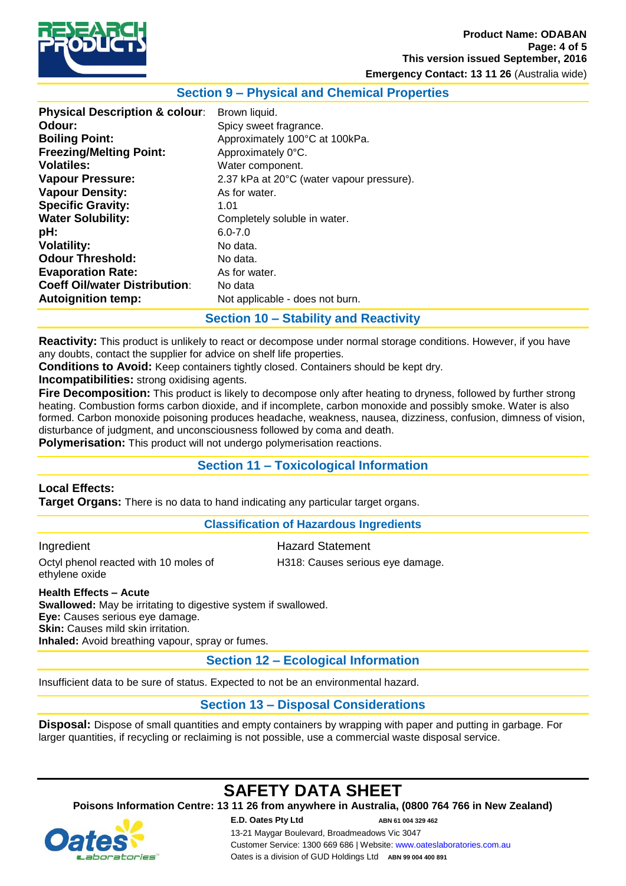

### **Product Name: ODABAN Page: 4 of 5 This version issued September, 2016**

**Emergency Contact: 13 11 26** (Australia wide)

### **Section 9 – Physical and Chemical Properties**

# **Section 10 – Stability and Reactivity**

**Reactivity:** This product is unlikely to react or decompose under normal storage conditions. However, if you have any doubts, contact the supplier for advice on shelf life properties.

**Conditions to Avoid:** Keep containers tightly closed. Containers should be kept dry.

**Incompatibilities:** strong oxidising agents.

**Fire Decomposition:** This product is likely to decompose only after heating to dryness, followed by further strong heating. Combustion forms carbon dioxide, and if incomplete, carbon monoxide and possibly smoke. Water is also formed. Carbon monoxide poisoning produces headache, weakness, nausea, dizziness, confusion, dimness of vision, disturbance of judgment, and unconsciousness followed by coma and death.

**Polymerisation:** This product will not undergo polymerisation reactions.

# **Section 11 – Toxicological Information**

### **Local Effects:**

**Target Organs:** There is no data to hand indicating any particular target organs.

#### **Classification of Hazardous Ingredients**

Ingredient **Hazard Statement** Octyl phenol reacted with 10 moles of H318: Causes serious eye damage. ethylene oxide

**Health Effects – Acute Swallowed:** May be irritating to digestive system if swallowed. **Eye:** Causes serious eye damage. **Skin:** Causes mild skin irritation. **Inhaled:** Avoid breathing vapour, spray or fumes.

**Section 12 – Ecological Information**

Insufficient data to be sure of status. Expected to not be an environmental hazard.

# **Section 13 – Disposal Considerations**

**Disposal:** Dispose of small quantities and empty containers by wrapping with paper and putting in garbage. For larger quantities, if recycling or reclaiming is not possible, use a commercial waste disposal service.

# **SAFETY DATA SHEET**

**Poisons Information Centre: 13 11 26 from anywhere in Australia, (0800 764 766 in New Zealand)**